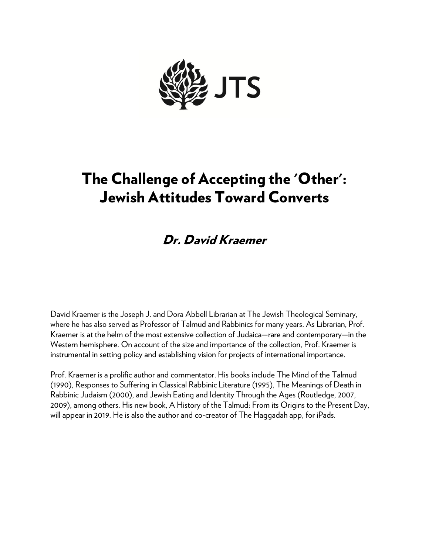

# The Challenge of Accepting the 'Other': Jewish Attitudes Toward Converts

## Dr. David Kraemer

David Kraemer is the Joseph J. and Dora Abbell Librarian at The Jewish Theological Seminary, where he has also served as Professor of Talmud and Rabbinics for many years. As Librarian, Prof. Kraemer is at the helm of the most extensive collection of Judaica—rare and contemporary—in the Western hemisphere. On account of the size and importance of the collection, Prof. Kraemer is instrumental in setting policy and establishing vision for projects of international importance.

Prof. Kraemer is a prolific author and commentator. His books include The Mind of the Talmud (1990), Responses to Suffering in Classical Rabbinic Literature (1995), The Meanings of Death in Rabbinic Judaism (2000), and Jewish Eating and Identity Through the Ages (Routledge, 2007, 2009), among others. His new book, A History of the Talmud: From its Origins to the Present Day, will appear in 2019. He is also the author and co-creator of The Haggadah app, for iPads.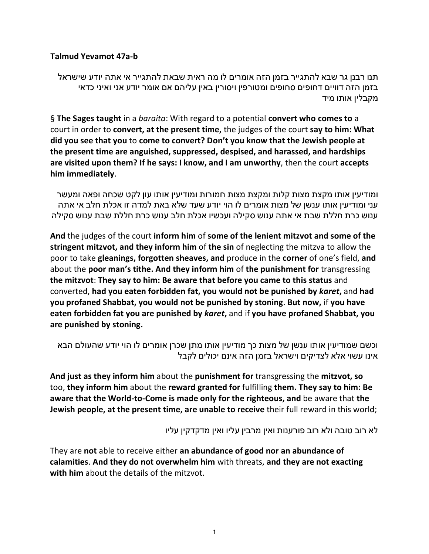#### **Talmud Yevamot 47a-b**

תנו רבנן גר שבא להתגייר בזמן הזה אומרים לו מה ראית שבאת להתגייר אי אתה יודע שישראל בזמן הזה דוויים דחופים סחופים ומטורפין ויסורין באין עליהם אם אומר יודע אני ואיני כדאי מקבלין אותו מיד

§ **The Sages taught** in a *baraita*: With regard to a potential **convert who comes to** a court in order to **convert, at the present time,** the judges of the court **say to him: What did you see that you** to **come to convert? Don't you know that the Jewish people at the present time are anguished, suppressed, despised, and harassed, and hardships are visited upon them? If he says: I know, and I am unworthy**, then the court **accepts him immediately**.

ומודיעין אותו מקצת מצות קלות ומקצת מצות חמורות ומודיעין אותו עון לקט שכחה ופאה ומעשר עני ומודיעין אותו ענשן של מצות אומרים לו הוי יודע שעד שלא באת למדה זו אכלת חלב אי אתה ענוש כרת חללת שבת אי אתה ענוש סקילה ועכשיו אכלת חלב ענוש כרת חללת שבת ענוש סקילה

**And** the judges of the court **inform him** of **some of the lenient mitzvot and some of the stringent mitzvot, and they inform him** of **the sin** of neglecting the mitzva to allow the poor to take **gleanings, forgotten sheaves, and** produce in the **corner** of one's field, **and** about the **poor man's tithe. And they inform him** of **the punishment for** transgressing **the mitzvot**: **They say to him: Be aware that before you came to this status** and converted, **had you eaten forbidden fat, you would not be punished by** *karet***,** and **had you profaned Shabbat, you would not be punished by stoning**. **But now,** if **you have eaten forbidden fat you are punished by** *karet***,** and if **you have profaned Shabbat, you are punished by stoning.**

וכשם שמודיעין אותו ענשן של מצות כך מודיעין אותו מתן שכרן אומרים לו הוי יודע שהעולם הבא אינו עשוי אלא לצדיקים וישראל בזמן הזה אינם יכולים לקבל

**And just as they inform him** about the **punishment for** transgressing the **mitzvot, so** too, **they inform him** about the **reward granted for** fulfilling **them. They say to him: Be aware that the World-to-Come is made only for the righteous, and** be aware that **the Jewish people, at the present time, are unable to receive** their full reward in this world;

לא רוב טובה ולא רוב פורענות ואין מרבין עליו ואין מדקדקין עליו

They are **not** able to receive either **an abundance of good nor an abundance of calamities**. **And they do not overwhelm him** with threats, **and they are not exacting with him** about the details of the mitzvot.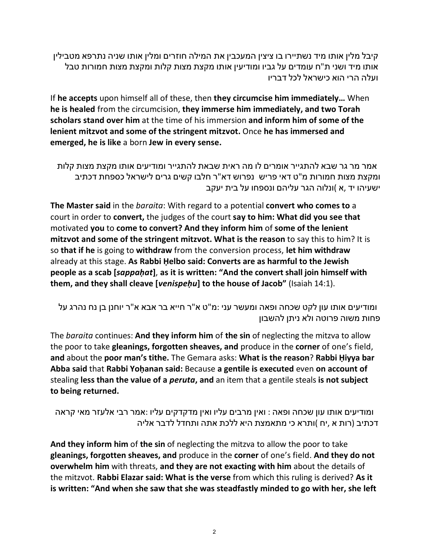קיבל מלין אותו מיד נשתיירו בו ציצין המעכבין את המילה חוזרים ומלין אותו שניה נתרפא מטבילין אותו מיד ושני ת"ח עומדים על גביו ומודיעין אותו מקצת מצות קלות ומקצת מצות חמורות טבל ועלה הרי הוא כישראל לכל דבריו

If **he accepts** upon himself all of these, then **they circumcise him immediately…** When **he is healed** from the circumcision, **they immerse him immediately, and two Torah scholars stand over him** at the time of his immersion **and inform him of some of the lenient mitzvot and some of the stringent mitzvot.** Once **he has immersed and emerged, he is like** a born **Jew in every sense.**

אמר מר גר שבא להתגייר אומרים לו מה ראית שבאת להתגייר ומודיעים אותו מקצת מצות קלות ומקצת מצות חמורות מ"ט דאי פריש נפרוש דא"ר חלבו קשים גרים לישראל כספחת דכתיב ישעיהו יד ,א )ונלוה הגר עליהם ונספחו על בית יעקב

**The Master said** in the *baraita*: With regard to a potential **convert who comes to** a court in order to **convert,** the judges of the court **say to him: What did you see that** motivated **you** to **come to convert? And they inform him** of **some of the lenient mitzvot and some of the stringent mitzvot. What is the reason** to say this to him? It is so **that if he** is going to **withdraw** from the conversion process, **let him withdraw** already at this stage. **As Rabbi Ḥelbo said: Converts are as harmful to the Jewish people as a scab [***sappaḥat***]**, **as it is written: "And the convert shall join himself with them, and they shall cleave [***venispeḥu***] to the house of Jacob"** (Isaiah 14:1).

ומודיעים אותו עון לקט שכחה ופאה ומעשר עני :מ"ט א"ר חייא בר אבא א"ר [יוחנן](file://topics/rabbi-yochanan-b-napacha) בן נח נהרג על פחות משוה פרוטה ולא ניתן להשבון

The *baraita* continues: **And they inform him** of **the sin** of neglecting the mitzva to allow the poor to take **gleanings, forgotten sheaves, and** produce in the **corner** of one's field, **and** about the **poor man's tithe.** The Gemara asks: **What is the reason**? **Rabbi Ḥiyya bar Abba said** that **Rabbi Yoḥanan said:** Because **a gentile is executed** even **on account of** stealing **less than the value of a** *peruta***, and** an item that a gentile steals **is not subject to being returned.**

ומודיעים אותו עון שכחה ופאה : ואין מרבים עליו ואין מדקדקים עליו :אמר רבי אלעזר מאי קראה דכתיב (רות א ,יח )ותרא כי מתאמצת היא ללכת אתה ותחדל לדבר אליה

**And they inform him** of **the sin** of neglecting the mitzva to allow the poor to take **gleanings, forgotten sheaves, and** produce in the **corner** of one's field. **And they do not overwhelm him** with threats, **and they are not exacting with him** about the details of the mitzvot. **Rabbi Elazar said: What is the verse** from which this ruling is derived? **As it is written: "And when she saw that she was steadfastly minded to go with her, she left**